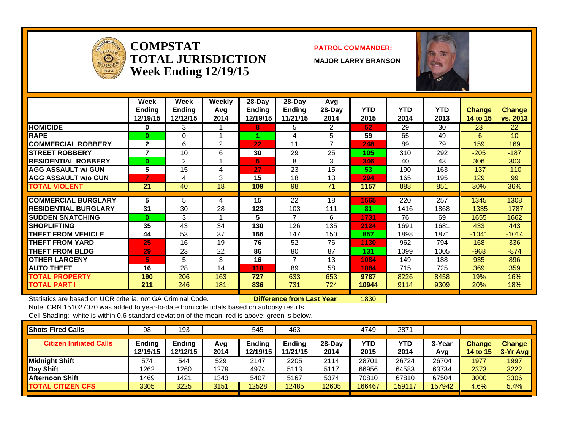

### **COMPSTATTOTAL JURISDICTIONWeek Ending 12/19/15**

#### **PATROL COMMANDER:**

**MAJOR LARRY BRANSON**



|                             | Week<br><b>Ending</b><br>12/19/15 | Week<br><b>Ending</b><br>12/12/15 | Weekly<br>Avg<br>2014 | $28$ -Day<br>Ending<br>12/19/15 | $28$ -Day<br><b>Ending</b><br>11/21/15 | Avg<br>$28-Day$<br>2014 | <b>YTD</b><br>2015 | <b>YTD</b><br>2014 | <b>YTD</b><br>2013 | Change<br>14 to 15 | Change<br>vs. 2013 |
|-----------------------------|-----------------------------------|-----------------------------------|-----------------------|---------------------------------|----------------------------------------|-------------------------|--------------------|--------------------|--------------------|--------------------|--------------------|
| <b>HOMICIDE</b>             | 0                                 | 3                                 |                       | 8                               | 5                                      | 2                       | 52                 | 29                 | 30                 | 23                 | 22                 |
| <b>RAPE</b>                 | $\bf{0}$                          | $\Omega$                          |                       |                                 | 4                                      | 5                       | 59                 | 65                 | 49                 | $-6$               | 10 <sup>1</sup>    |
| <b>COMMERCIAL ROBBERY</b>   | $\overline{2}$                    | 6                                 | 2                     | 22                              | 11                                     | 7                       | 248                | 89                 | 79                 | 159                | 169                |
| <b>STREET ROBBERY</b>       | 7                                 | 10                                | 6                     | 30                              | 29                                     | 25                      | 105                | 310                | 292                | $-205$             | $-187$             |
| <b>RESIDENTIAL ROBBERY</b>  | $\bf{0}$                          | $\overline{2}$                    |                       | 6                               | 8                                      | 3                       | 346                | 40                 | 43                 | 306                | 303                |
| <b>AGG ASSAULT w/ GUN</b>   | 5                                 | 15                                | 4                     | 27                              | 23                                     | 15                      | 53                 | 190                | 163                | $-137$             | $-110$             |
| <b>AGG ASSAULT w/o GUN</b>  |                                   | 4                                 | 3                     | 15                              | 18                                     | 13                      | 294                | 165                | 195                | 129                | 99                 |
| <b>TOTAL VIOLENT</b>        | 21                                | 40                                | 18                    | 109                             | 98                                     | 71                      | 1157               | 888                | 851                | 30%                | 36%                |
|                             |                                   |                                   |                       |                                 |                                        |                         |                    |                    |                    |                    |                    |
| <b>ICOMMERCIAL BURGLARY</b> | 5                                 | 5                                 | 4                     | 15                              | 22                                     | 18                      | 1565               | 220                | 257                | 1345               | 1308               |
| <b>RESIDENTIAL BURGLARY</b> | 31                                | 30                                | 28                    | 123                             | 103                                    | 111                     | 81                 | 1416               | 1868               | $-1335$            | $-1787$            |
| <b>SUDDEN SNATCHING</b>     | $\bf{0}$                          | 3                                 |                       | 5                               | $\overline{7}$                         | 6                       | 1731               | 76                 | 69                 | 1655               | 1662               |
| <b>SHOPLIFTING</b>          | 35                                | 43                                | 34                    | 130                             | 126                                    | 135                     | 2124               | 1691               | 1681               | 433                | 443                |
| <b>THEFT FROM VEHICLE</b>   | 44                                | 53                                | 37                    | 166                             | 147                                    | 150                     | 857                | 1898               | 1871               | $-1041$            | $-1014$            |
| <b>THEFT FROM YARD</b>      | 25                                | 16                                | 19                    | 76                              | 52                                     | 76                      | 1130               | 962                | 794                | 168                | 336                |
| <b>THEFT FROM BLDG</b>      | 29                                | 23                                | 22                    | 86                              | 80                                     | 87                      | 131                | 1099               | 1005               | $-968$             | $-874$             |
| <b>OTHER LARCENY</b>        | 5.                                | 5                                 | 3                     | 16                              | $\overline{7}$                         | 13                      | 1084               | 149                | 188                | 935                | 896                |
| <b>AUTO THEFT</b>           | 16                                | 28                                | 14                    | 110 <sub>1</sub>                | 89                                     | 58                      | 1084               | 715                | 725                | 369                | 359                |
| <b>TOTAL PROPERTY</b>       | 190                               | 206                               | 163                   | 727                             | 633                                    | 653                     | 9787               | 8226               | 8458               | 19%                | 16%                |
| <b>TOTAL PART I</b>         | 211                               | 246                               | 181                   | 836                             | 731                                    | 724                     | 10944              | 9114               | 9309               | 20%                | 18%                |

Statistics are based on UCR criteria, not GA Criminal Code. **Difference from Last Year** 1830

Note: CRN 151027070 was added to year-to-date homicide totals based on autopsy results.

| <b>Shots Fired Calls</b>       | 98                        | 193                       |             | 545               | 463                       |                | 4749               | 2871        |               |                                  |                             |
|--------------------------------|---------------------------|---------------------------|-------------|-------------------|---------------------------|----------------|--------------------|-------------|---------------|----------------------------------|-----------------------------|
| <b>Citizen Initiated Calls</b> | <b>Ending</b><br>12/19/15 | <b>Endina</b><br>12/12/15 | Avg<br>2014 | Endina<br>2/19/15 | <b>Ending</b><br>11/21/15 | 28-Dav<br>2014 | <b>YTD</b><br>2015 | YTD<br>2014 | 3-Year<br>Avg | <b>Change</b><br><b>14 to 15</b> | <b>Change</b><br>$3-Yr$ Avg |
| Midnight Shift                 | 574                       | 544                       | 529         | 2147              | 2205                      | 2114           | 28701              | 26724       | 26704         | 1977                             | 1997                        |
| Day Shift                      | 1262                      | 1260                      | 1279        | 4974              | 5113                      | 5117           | 66956              | 64583       | 63734         | 2373                             | 3222                        |
| <b>Afternoon Shift</b>         | 1469                      | 1421                      | 1343        | 5407              | 5167                      | 5374           | 70810              | 67810       | 67504         | 3000                             | 3306                        |
| <b>TOTAL CITIZEN CFS</b>       | 3305                      | 3225                      | 3151        | 12528             | 12485                     | 12605          | 166467             | 159117      | 157942        | 4.6%                             | 5.4%                        |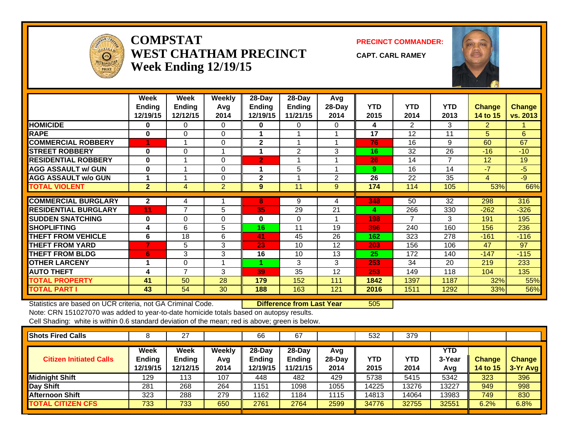

# **COMPSTATWEST CHATHAM PRECINCTWeek Ending 12/19/15**

**PRECINCT COMMANDER:**

**CAPT. CARL RAMEY**



|                             | Week<br><b>Ending</b> | Week<br><b>Ending</b> | <b>Weekly</b><br>Avg | 28-Day<br>Ending | 28-Day<br>Ending | Avg<br>28-Day  | <b>YTD</b> | <b>YTD</b>     | <b>YTD</b>     | <b>Change</b>  | <b>Change</b> |
|-----------------------------|-----------------------|-----------------------|----------------------|------------------|------------------|----------------|------------|----------------|----------------|----------------|---------------|
|                             | 12/19/15              | 12/12/15              | 2014                 | 12/19/15         | 11/21/15         | 2014           | 2015       | 2014           | 2013           | 14 to 15       | vs. 2013      |
| <b>HOMICIDE</b>             | 0                     | 0                     | $\Omega$             | 0                | 0                | 0              | 4          | $\overline{2}$ | 3              | $\overline{2}$ |               |
| <b>RAPE</b>                 | $\mathbf 0$           | 0                     | 0                    |                  |                  |                | 17         | 12             | 11             | 5              | 6             |
| <b>COMMERCIAL ROBBERY</b>   |                       |                       | $\Omega$             | $\mathbf{2}$     |                  |                | 76         | 16             | 9              | 60             | 67            |
| <b>STREET ROBBERY</b>       | $\bf{0}$              | 0                     |                      |                  | $\overline{2}$   | 3              | 16         | 32             | 26             | $-16$          | $-10$         |
| <b>RESIDENTIAL ROBBERY</b>  | $\bf{0}$              |                       | $\Omega$             | $\mathbf{2}$     |                  |                | 26         | 14             | $\overline{7}$ | 12             | 19            |
| <b>AGG ASSAULT w/ GUN</b>   | $\bf{0}$              |                       | 0                    |                  | 5                |                | 9          | 16             | 14             | $-7$           | $-5$          |
| <b>AGG ASSAULT w/o GUN</b>  |                       |                       | 0                    | $\mathbf{2}$     |                  | $\overline{2}$ | 26         | 22             | 35             | $\overline{4}$ | $-9$          |
| <b>TOTAL VIOLENT</b>        | 2 <sup>1</sup>        | 4                     | 2                    | 9                | 11               | 9              | 174        | 114            | 105            | 53%            | 66%           |
| <b>COMMERCIAL BURGLARY</b>  | $\mathbf{2}$          | 4                     |                      | 8                | 9                | 4              | 348        | 50             | 32             | 298            | 316           |
| <b>RESIDENTIAL BURGLARY</b> | 11                    | 7                     | 5                    | 35               | 29               | 21             | 4          | 266            | 330            | $-262$         | $-326$        |
| <b>SUDDEN SNATCHING</b>     | $\mathbf 0$           | 0                     | 0                    | 0                | 0                |                | 198        | 7              | 3              | 191            | 195           |
| <b>SHOPLIFTING</b>          | 4                     | 6                     | 5                    | 16               | 11               | 19             | 396        | 240            | 160            | 156            | 236           |
| <b>THEFT FROM VEHICLE</b>   | 6                     | 18                    | 6                    | 41               | 45               | 26             | 162        | 323            | 278            | $-161$         | $-116$        |
| <b>THEFT FROM YARD</b>      | $\overline{7}$        | 5                     | 3                    | 23               | 10               | 12             | 203        | 156            | 106            | 47             | 97            |
| <b>THEFT FROM BLDG</b>      | 6                     | 3                     | 3                    | 16               | 10               | 13             | 25         | 172            | 140            | $-147$         | $-115$        |
| <b>OTHER LARCENY</b>        |                       | 0                     |                      | 4                | 3                | 3              | 253        | 34             | 20             | 219            | 233           |
| <b>AUTO THEFT</b>           | 4                     | 7                     | 3                    | 39               | 35               | 12             | 253        | 149            | 118            | 104            | 135           |
| <b>TOTAL PROPERTY</b>       | 41                    | 50                    | 28                   | 179              | 152              | 111            | 1842       | 1397           | 1187           | 32%            | 55%           |
| <b>TOTAL PART I</b>         | 43                    | 54                    | 30                   | 188              | 163              | 121            | 2016       | 1511           | 1292           | 33%            | 56%           |

Statistics are based on UCR criteria, not GA Criminal Code. **Difference from Last Year** 505

Note: CRN 151027070 was added to year-to-date homicide totals based on autopsy results. Cell Shading: white is within 0.6 standard deviation of the mean; red is above; green is below.

| <b>Shots Fired Calls</b>       |                                   |                            |                       | 66                                  | 67                             |                         | 532         | 379                |                             |                                  |                           |
|--------------------------------|-----------------------------------|----------------------------|-----------------------|-------------------------------------|--------------------------------|-------------------------|-------------|--------------------|-----------------------------|----------------------------------|---------------------------|
| <b>Citizen Initiated Calls</b> | Week<br><b>Ending</b><br>12/19/15 | Week<br>Ending<br>12/12/15 | Weekly<br>Avg<br>2014 | 28-Day<br><b>Ending</b><br> 2/19/15 | $28-Day$<br>Ending<br>11/21/15 | Avg<br>$28-Day$<br>2014 | YTD<br>2015 | <b>YTD</b><br>2014 | <b>YTD</b><br>3-Year<br>Avg | <b>Change</b><br><b>14 to 15</b> | <b>Change</b><br>3-Yr Avg |
| <b>Midnight Shift</b>          | 129                               | 113                        | 107                   | 448                                 | 482                            | 429                     | 5738        | 5415               | 5342                        | 323                              | 396                       |
| <b>Day Shift</b>               | 281                               | 268                        | 264                   | 1151                                | 1098                           | 1055                    | 14225       | 3276               | 13227                       | 949                              | 998                       |
| <b>Afternoon Shift</b>         | 323                               | 288                        | 279                   | 1162                                | 184                            | 1115                    | 14813       | 14064              | 13983                       | 749                              | 830                       |
| <b>TOTAL CITIZEN CFS</b>       | 733                               | 733                        | 650                   | 2761                                | 2764                           | 2599                    | 34776       | 32755              | 32551                       | 6.2%                             | 6.8%                      |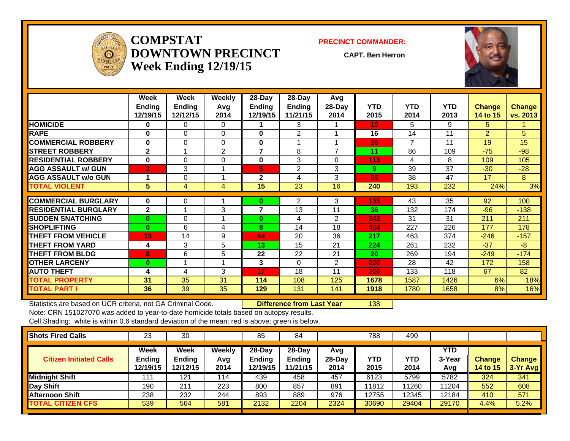

**COMPSTATDOWNTOWN PRECINCTWeek Ending 12/19/15**

#### **PRECINCT COMMANDER:**

**CAPT. Ben Herron**



|                             | Week<br><b>Ending</b><br>12/19/15 | Week<br><b>Ending</b><br>12/12/15 | Weekly<br>Avq<br>2014 | 28-Day<br>Ending<br>12/19/15 | 28-Day<br><b>Ending</b><br>11/21/15 | Avg<br>28-Day<br>2014 | <b>YTD</b><br>2015 | <b>YTD</b><br>2014 | <b>YTD</b><br>2013 | <b>Change</b><br>14 to 15 | <b>Change</b><br>vs. 2013 |
|-----------------------------|-----------------------------------|-----------------------------------|-----------------------|------------------------------|-------------------------------------|-----------------------|--------------------|--------------------|--------------------|---------------------------|---------------------------|
| <b>HOMICIDE</b>             | $\bf{0}$                          | $\Omega$                          | 0                     |                              | 3                                   |                       | 10                 | 5.                 | 9                  | 5.                        |                           |
| <b>RAPE</b>                 | $\bf{0}$                          | $\Omega$                          | $\Omega$              | $\bf{0}$                     | $\mathfrak{p}$                      |                       | 16                 | 14                 | 11                 | $\overline{2}$            | 5                         |
| <b>COMMERCIAL ROBBERY</b>   | $\bf{0}$                          | $\Omega$                          | $\Omega$              | $\bf{0}$                     |                                     |                       | 26                 | 7                  | 11                 | 19                        | 15                        |
| <b>STREET ROBBERY</b>       | $\mathbf{2}$                      |                                   | 2                     | $\overline{7}$               | 8                                   | 7                     | 11                 | 86                 | 109                | $-75$                     | $-98$                     |
| <b>RESIDENTIAL ROBBERY</b>  | $\mathbf{0}$                      | $\Omega$                          | $\Omega$              | $\bf{0}$                     | 3                                   | $\Omega$              | 113                | 4                  | 8                  | 109                       | 105                       |
| <b>AGG ASSAULT w/ GUN</b>   | $\overline{2}$                    | 3                                 |                       | 5                            | $\overline{2}$                      | 3                     | 9                  | 39                 | 37                 | $-30$                     | $-28$                     |
| <b>AGG ASSAULT w/o GUN</b>  |                                   | $\mathbf 0$                       |                       | $\mathbf{2}$                 | 4                                   | 3                     | 55                 | 38                 | 47                 | 17                        | 8                         |
| <b>TOTAL VIOLENT</b>        | 5 <sup>1</sup>                    | 4                                 | 4                     | 15                           | 23                                  | 16                    | 240                | 193                | 232                | 24%                       | 3%                        |
|                             |                                   |                                   |                       |                              |                                     |                       |                    |                    |                    |                           |                           |
| <b>COMMERCIAL BURGLARY</b>  | $\bf{0}$                          | $\mathbf 0$                       |                       | $\bf{0}$                     | $\overline{2}$                      | 3                     | 135                | 43                 | 35                 | 92                        | 100                       |
| <b>RESIDENTIAL BURGLARY</b> | $\mathbf{2}$                      |                                   | 3                     | 7                            | 13                                  | 11                    | 36                 | 132                | 174                | $-96$                     | $-138$                    |
| <b>SUDDEN SNATCHING</b>     | $\mathbf{0}$                      | $\Omega$                          |                       | $\bf{0}$                     | 4                                   | $\overline{2}$        | 242                | 31                 | 31                 | 211                       | 211                       |
| <b>SHOPLIFTING</b>          | $\mathbf{0}$                      | 6                                 | 4                     | 8                            | 14                                  | 18                    | 404                | 227                | 226                | 177                       | 178                       |
| <b>THEFT FROM VEHICLE</b>   | 13                                | 14                                | 9                     | 44                           | 20                                  | 36                    | 217                | 463                | 374                | $-246$                    | $-157$                    |
| <b>THEFT FROM YARD</b>      | 4                                 | 3                                 | 5                     | 13                           | 15                                  | 21                    | 224                | 261                | 232                | $-37$                     | $-8$                      |
| <b>THEFT FROM BLDG</b>      | 8                                 | 6                                 | 5                     | 22                           | 22                                  | 21                    | 20                 | 269                | 194                | $-249$                    | $-174$                    |
| <b>OTHER LARCENY</b>        | $\bf{0}$                          |                                   |                       | 3                            | $\Omega$                            | $\overline{2}$        | 200                | 28                 | 42                 | 172                       | 158                       |
| <b>AUTO THEFT</b>           | 4                                 | 4                                 | 3                     | 17                           | 18                                  | 11                    | 200                | 133                | 118                | 67                        | 82                        |
| <b>TOTAL PROPERTY</b>       | 31                                | 35                                | 31                    | 114                          | 108                                 | 125                   | 1678               | 1587               | 1426               | 6%                        | 18%                       |
| <b>TOTAL PART I</b>         | 36                                | 39                                | 35                    | 129                          | 131                                 | 141                   | 1918               | 1780               | 1658               | 8%                        | 16%                       |

Statistics are based on UCR criteria, not GA Criminal Code. **Difference from Last Year** 138

Note: CRN 151027070 was added to year-to-date homicide totals based on autopsy results.

| <b>Shots Fired Calls</b>       | 23                                | 30                                |                       | 85                                 | 84                                     |                       | 788         | 490         |                             |                           |                           |
|--------------------------------|-----------------------------------|-----------------------------------|-----------------------|------------------------------------|----------------------------------------|-----------------------|-------------|-------------|-----------------------------|---------------------------|---------------------------|
| <b>Citizen Initiated Calls</b> | Week<br><b>Ending</b><br>12/19/15 | Week<br><b>Ending</b><br>12/12/15 | Weekly<br>Avg<br>2014 | 28-Day<br><b>Ending</b><br>2/19/15 | $28$ -Day<br><b>Ending</b><br>11/21/15 | Avg<br>28-Day<br>2014 | YTD<br>2015 | YTD<br>2014 | <b>YTD</b><br>3-Year<br>Avg | <b>Change</b><br>14 to 15 | <b>Change</b><br>3-Yr Avg |
| Midnight Shift                 | 111                               | 121                               | 114                   | 439                                | 458                                    | 457                   | 6123        | 5799        | 5782                        | 324                       | 341                       |
| Day Shift                      | 190                               | 211                               | 223                   | 800                                | 857                                    | 891                   | 11812       | 11260       | 11204                       | 552                       | 608                       |
| <b>Afternoon Shift</b>         | 238                               | 232                               | 244                   | 893                                | 889                                    | 976                   | 12755       | 12345       | 12184                       | 410                       | 571                       |
| <b>TOTAL CITIZEN CFS</b>       | 539                               | 564                               | 581                   | 2132                               | 2204                                   | 2324                  | 30690       | 29404       | 29170                       | 4.4%                      | 5.2%                      |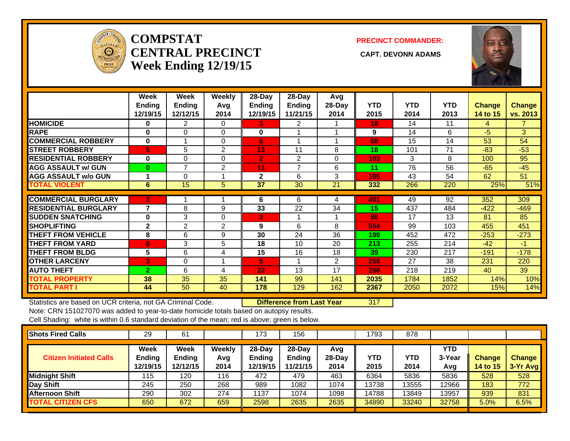

# **COMPSTATCENTRAL PRECINCT** CAPT. DEVONN ADAMS **Week Ending 12/19/15**

#### **PRECINCT COMMANDER:**



|                             | Week           | Week           | <b>Weekly</b>  | 28-Day         | 28-Day   | Avg            |            |            |            |               |                |
|-----------------------------|----------------|----------------|----------------|----------------|----------|----------------|------------|------------|------------|---------------|----------------|
|                             | <b>Ending</b>  | <b>Ending</b>  | Avq            | Ending         | Ending   | 28-Day         | <b>YTD</b> | <b>YTD</b> | <b>YTD</b> | <b>Change</b> | <b>Change</b>  |
|                             | 12/19/15       | 12/12/15       | 2014           | 12/19/15       | 11/21/15 | 2014           | 2015       | 2014       | 2013       | 14 to 15      | vs. 2013       |
| <b>HOMICIDE</b>             | 0              | 2              | 0              | 3.             | 2        |                | 18         | 14         | 11         | 4             | $\overline{7}$ |
| <b>RAPE</b>                 | $\bf{0}$       | 0              | $\Omega$       | 0              |          |                | 9          | 14         | 6          | $-5$          | 3              |
| <b>COMMERCIAL ROBBERY</b>   | $\bf{0}$       |                | $\Omega$       | 6              | 1        |                | 68         | 15         | 14         | 53            | 54             |
| <b>STREET ROBBERY</b>       | 5              | 5              | $\overline{2}$ | 13             | 11       | 8              | 18         | 101        | 71         | $-83$         | $-53$          |
| <b>RESIDENTIAL ROBBERY</b>  | $\bf{0}$       | 0              | $\Omega$       | $\overline{2}$ | 2        | 0              | 103        | 3          | 8          | 100           | 95             |
| <b>AGG ASSAULT w/ GUN</b>   | $\bf{0}$       | 7              | $\overline{2}$ | 11             | 7        | 6              | 11         | 76         | 56         | $-65$         | $-45$          |
| <b>AGG ASSAULT w/o GUN</b>  |                | 0              |                | $\mathbf{2}$   | 6        | 3              | 105        | 43         | 54         | 62            | 51             |
| <b>TOTAL VIOLENT</b>        | 6              | 15             | 5              | 37             | 30       | 21             | 332        | 266        | 220        | 25%           | 51%            |
|                             |                |                |                |                |          |                |            |            |            |               |                |
| <b>COMMERCIAL BURGLARY</b>  | 3              |                |                | 6              | 6        | 4              | 401        | 49         | 92         | 352           | 309            |
| <b>RESIDENTIAL BURGLARY</b> | 7              | 8              | 9              | 33             | 22       | 34             | 15         | 437        | 484        | $-422$        | $-469$         |
| <b>ISUDDEN SNATCHING</b>    | 0              | 3              | 0              | 3              |          |                | 98         | 17         | 13         | 81            | 85             |
| <b>SHOPLIFTING</b>          | $\mathbf{2}$   | $\overline{2}$ | $\overline{2}$ | 9              | 6        | 8              | 554        | 99         | 103        | 455           | 451            |
| <b>THEFT FROM VEHICLE</b>   | 8              | 6              | 9              | 30             | 24       | 36             | 199        | 452        | 472        | $-253$        | $-273$         |
| <b>THEFT FROM YARD</b>      | 8              | 3              | 5              | 18             | 10       | 20             | 213        | 255        | 214        | $-42$         | $-1$           |
| <b>THEFT FROM BLDG</b>      | 5              | 6              | 4              | 15             | 16       | 18             | 39         | 230        | 217        | $-191$        | $-178$         |
| <b>OTHER LARCENY</b>        | 3              | 0              |                | 5              |          | $\overline{2}$ | 258        | 27         | 38         | 231           | 220            |
| <b>AUTO THEFT</b>           | $\overline{2}$ | 6              | 4              | 22             | 13       | 17             | 258        | 218        | 219        | 40            | 39             |
| <b>TOTAL PROPERTY</b>       | 38             | 35             | 35             | 141            | 99       | 141            | 2035       | 1784       | 1852       | 14%           | 10%            |
| <b>TOTAL PART I</b>         | 44             | 50             | 40             | 178            | 129      | 162            | 2367       | 2050       | 2072       | 15%           | 14%            |

Statistics are based on UCR criteria, not GA Criminal Code. **Difference from Last Year** 317

Note: CRN 151027070 was added to year-to-date homicide totals based on autopsy results.

| <b>Shots Fired Calls</b>       | 29                         | 61                                |                              | 173                          | 156                                    |                         | 1793        | 878         |                      |                           |                           |
|--------------------------------|----------------------------|-----------------------------------|------------------------------|------------------------------|----------------------------------------|-------------------------|-------------|-------------|----------------------|---------------------------|---------------------------|
| <b>Citizen Initiated Calls</b> | Week<br>Ending<br>12/19/15 | <b>Week</b><br>Ending<br>12/12/15 | <b>Weekly</b><br>Avg<br>2014 | 28-Day<br>Ending<br>12/19/15 | $28$ -Dav<br><b>Ending</b><br>11/21/15 | Avg<br>$28-Day$<br>2014 | YTD<br>2015 | YTD<br>2014 | YTD<br>3-Year<br>Avg | <b>Change</b><br>14 to 15 | <b>Change</b><br>3-Yr Avg |
| <b>Midnight Shift</b>          | 115                        | 120                               | 116                          | 472                          | 479                                    | 463                     | 6364        | 5836        | 5836                 | 528                       | 528                       |
| <b>Day Shift</b>               | 245                        | 250                               | 268                          | 989                          | 1082                                   | 1074                    | 13738       | 13555       | 12966                | 183                       | 772                       |
| <b>Afternoon Shift</b>         | 290                        | 302                               | 274                          | 1137                         | 1074                                   | 1098                    | 14788       | 13849       | 13957                | 939                       | 831                       |
| <b>TOTAL CITIZEN CFS</b>       | 650                        | 672                               | 659                          | 2598                         | 2635                                   | 2635                    | 34890       | 33240       | 32758                | 5.0%                      | 6.5%                      |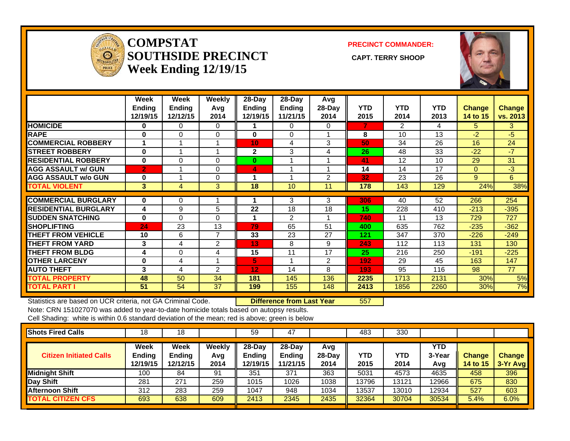

## **COMPSTATSOUTHSIDE PRECINCT** CAPT. TERRY SHOOP **Week Ending 12/19/15**

**PRECINCT COMMANDER:**



|                              | Week<br><b>Ending</b><br>12/19/15 | Week<br><b>Ending</b><br>12/12/15 | Weekly<br>Avg<br>2014 | $28$ -Day<br><b>Ending</b><br>12/19/15 | $28-Day$<br>Ending<br>11/21/15 | Avg<br>28-Day<br>2014 | <b>YTD</b><br>2015 | <b>YTD</b><br>2014 | <b>YTD</b><br>2013 | <b>Change</b><br>14 to 15 | <b>Change</b><br>vs. 2013 |
|------------------------------|-----------------------------------|-----------------------------------|-----------------------|----------------------------------------|--------------------------------|-----------------------|--------------------|--------------------|--------------------|---------------------------|---------------------------|
| <b>HOMICIDE</b>              | 0                                 | 0                                 | 0                     |                                        | 0                              | 0                     | 7                  | 2                  | 4                  | 5.                        | 3                         |
| <b>RAPE</b>                  | 0                                 | 0                                 | 0                     | 0                                      | 0                              |                       | 8                  | 10                 | 13                 | $-2$                      | -5                        |
| <b>COMMERCIAL ROBBERY</b>    | и                                 |                                   | 4                     | 10 <sub>1</sub>                        | 4                              | 3                     | 50                 | 34                 | 26                 | 16                        | 24                        |
| <b>ISTREET ROBBERY</b>       | $\bf{0}$                          |                                   |                       | $\mathbf{2}$                           | 3                              | 4                     | 26                 | 48                 | 33                 | $-22$                     | $-7$                      |
| <b>RESIDENTIAL ROBBERY</b>   | $\bf{0}$                          | $\Omega$                          | 0                     | $\bf{0}$                               |                                |                       | 41                 | 12                 | 10                 | 29                        | 31                        |
| <b>AGG ASSAULT w/ GUN</b>    | $\overline{2}$                    |                                   | 0                     | 4                                      | и                              |                       | 14                 | 14                 | 17                 | $\Omega$                  | $-3$                      |
| <b>AGG ASSAULT w/o GUN</b>   | 0                                 |                                   | 0                     |                                        |                                | 2                     | 32                 | 23                 | 26                 | 9                         | 6                         |
| <b>TOTAL VIOLENT</b>         | 3                                 | 4                                 | 3                     | 18                                     | 10                             | 11                    | 178                | 143                | 129                | 24%                       | 38%                       |
|                              |                                   |                                   |                       |                                        |                                |                       |                    |                    |                    |                           |                           |
| <b>COMMERCIAL BURGLARY</b>   | 0                                 | 0                                 |                       |                                        | 3                              | 3                     | 306                | 40                 | 52                 | 266                       | 254                       |
| <b>IRESIDENTIAL BURGLARY</b> | 4                                 | 9                                 | 5                     | 22                                     | 18                             | 18                    | 15                 | 228                | 410                | $-213$                    | $-395$                    |
| <b>SUDDEN SNATCHING</b>      | $\bf{0}$                          | 0                                 | $\Omega$              | 1                                      | 2                              |                       | 740                | 11                 | 13                 | 729                       | 727                       |
| <b>SHOPLIFTING</b>           | 24                                | 23                                | 13                    | 79                                     | 65                             | 51                    | 400                | 635                | 762                | $-235$                    | $-362$                    |
| <b>THEFT FROM VEHICLE</b>    | 10                                | 6                                 | 7                     | 33                                     | 23                             | 27                    | 121                | 347                | 370                | $-226$                    | $-249$                    |
| <b>THEFT FROM YARD</b>       | 3                                 | 4                                 | 2                     | 13                                     | 8                              | 9                     | 243                | 112                | 113                | 131                       | 130                       |
| <b>THEFT FROM BLDG</b>       | 4                                 | $\Omega$                          | 4                     | 15                                     | 11                             | 17                    | 25                 | 216                | 250                | $-191$                    | $-225$                    |
| <b>OTHER LARCENY</b>         | 0                                 | 4                                 |                       | 5.                                     |                                | 2                     | 192                | 29                 | 45                 | 163                       | 147                       |
| <b>AUTO THEFT</b>            | 3                                 | 4                                 | 2                     | 12                                     | 14                             | 8                     | 193                | 95                 | 116                | 98                        | 77                        |
| <b>TOTAL PROPERTY</b>        | 48                                | 50                                | 34                    | 181                                    | 145                            | 136                   | 2235               | 1713               | 2131               | 30%                       | 5%                        |
| <b>TOTAL PART I</b>          | 51                                | 54                                | 37                    | 199                                    | 155                            | 148                   | 2413               | 1856               | 2260               | 30%                       | 7%                        |

Statistics are based on UCR criteria, not GA Criminal Code. **Difference from Last Year** 557 Note: CRN 151027070 was added to year-to-date homicide totals based on autopsy results.

| <b>Shots Fired Calls</b>       | 18                         | 18                         |                       | 59                                    | 47                                    |                         | 483         | 330         |                      |                                  |                           |
|--------------------------------|----------------------------|----------------------------|-----------------------|---------------------------------------|---------------------------------------|-------------------------|-------------|-------------|----------------------|----------------------------------|---------------------------|
| <b>Citizen Initiated Calls</b> | Week<br>Ending<br>12/19/15 | Week<br>Ending<br>12/12/15 | Weekly<br>Avg<br>2014 | $28-Dav$<br><b>Endina</b><br> 2/19/15 | $28-Day$<br><b>Ending</b><br>11/21/15 | Avg<br>$28-Day$<br>2014 | YTD<br>2015 | YTD<br>2014 | YTD<br>3-Year<br>Avg | <b>Change</b><br><b>14 to 15</b> | <b>Change</b><br>3-Yr Avg |
| Midnight Shift                 | 100                        | 84                         | 91                    | 351                                   | 371                                   | 363                     | 5031        | 4573        | 4635                 | 458                              | 396                       |
| Day Shift                      | 281                        | 271                        | 259                   | 1015                                  | 1026                                  | 1038                    | 13796       | 13121       | 12966                | 675                              | 830                       |
| Afternoon Shift                | 312                        | 283                        | 259                   | 1047                                  | 948                                   | 1034                    | 13537       | 13010       | 12934                | 527                              | 603                       |
| <b>TOTAL CITIZEN CFS</b>       | 693                        | 638                        | 609                   | 2413                                  | 2345                                  | 2435                    | 32364       | 30704       | 30534                | 5.4%                             | 6.0%                      |